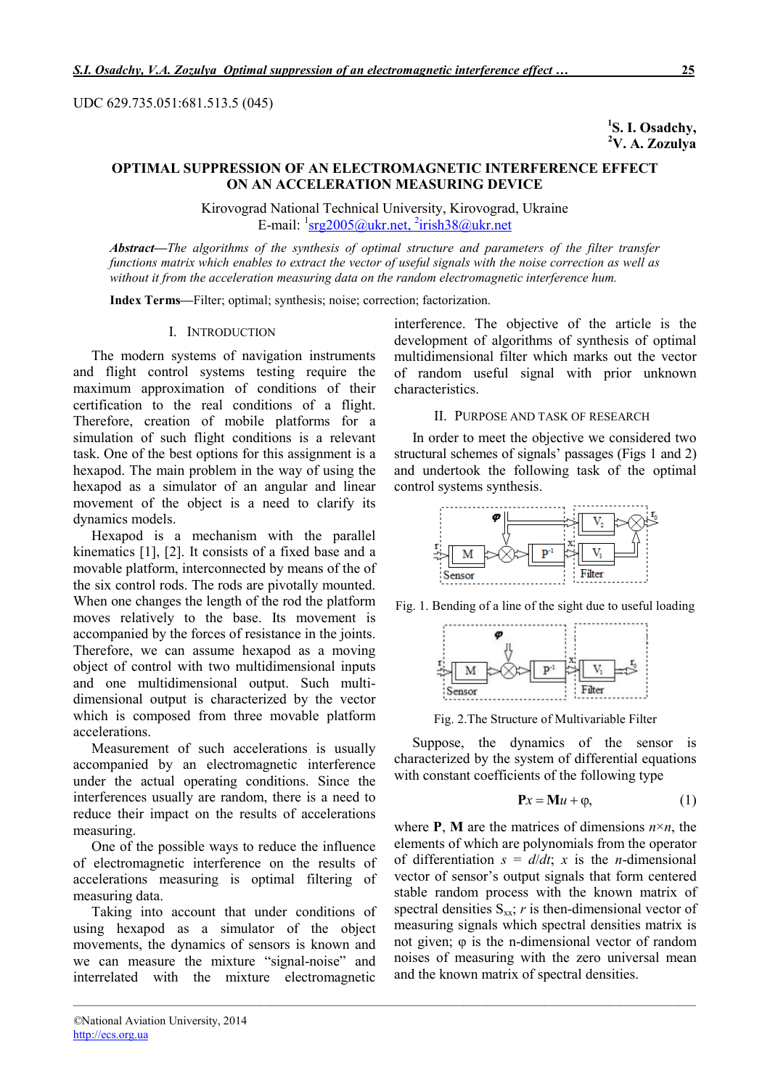UDC 629.735.051:681.513.5 (045)

<sup>1</sup>S. I. Osadchy, <sup>2</sup>V. A. Zozulya

# OPTIMAL SUPPRESSION OF AN ELECTROMAGNETIC INTERFERENCE EFFECT ON AN ACCELERATION MEASURING DEVICE

Kirovograd National Technical University, Kirovograd, Ukraine E-mail: <sup>1</sup>srg2005@ukr.net, <sup>2</sup>irish38@ukr.net

*Abstract*—*The algorithms of the synthesis of optimal structure and parameters of the filter transfer functions matrix which enables to extract the vector of useful signals with the noise correction as well as without it from the acceleration measuring data on the random electromagnetic interference hum.*

*\_\_\_\_\_\_\_\_\_\_\_\_\_\_\_\_\_\_\_\_\_\_\_\_\_\_\_\_\_\_\_\_\_\_\_\_\_\_\_\_\_\_\_\_\_\_\_\_\_\_\_\_\_\_\_\_\_\_\_\_\_\_\_\_\_\_\_\_\_\_\_\_\_\_\_\_\_\_\_\_\_\_\_\_\_\_\_\_\_\_\_\_\_\_\_\_\_\_\_\_\_\_\_\_\_\_\_*

Index Terms—Filter; optimal; synthesis; noise; correction; factorization.

### I. INTRODUCTION

The modern systems of navigation instruments and flight control systems testing require the maximum approximation of conditions of their certification to the real conditions of a flight. Therefore, creation of mobile platforms for a simulation of such flight conditions is a relevant task. One of the best options for this assignment is a hexapod. The main problem in the way of using the hexapod as a simulator of an angular and linear movement of the object is a need to clarify its dynamics models.

Hexapod is a mechanism with the parallel kinematics [1], [2]. It consists of a fixed base and a movable platform, interconnected by means of the of the six control rods. The rods are pivotally mounted. When one changes the length of the rod the platform moves relatively to the base. Its movement is accompanied by the forces of resistance in the joints. Therefore, we can assume hexapod as a moving object of control with two multidimensional inputs and one multidimensional output. Such multidimensional output is characterized by the vector which is composed from three movable platform accelerations.

Measurement of such accelerations is usually accompanied by an electromagnetic interference under the actual operating conditions. Since the interferences usually are random, there is a need to reduce their impact on the results of accelerations measuring.

One of the possible ways to reduce the influence of electromagnetic interference on the results of accelerations measuring is optimal filtering of measuring data.

Taking into account that under conditions of using hexapod as a simulator of the object movements, the dynamics of sensors is known and we can measure the mixture "signal-noise" and interrelated with the mixture electromagnetic

interference. The objective of the article is the development of algorithms of synthesis of optimal multidimensional filter which marks out the vector of random useful signal with prior unknown characteristics.

## II. PURPOSE AND TASK OF RESEARCH

In order to meet the objective we considered two structural schemes of signals' passages (Figs 1 and 2) and undertook the following task of the optimal control systems synthesis.



Fig. 1. Bending of a line of the sight due to useful loading



Fig. 2.The Structure of Multivariable Filter

Suppose, the dynamics of the sensor is characterized by the system of differential equations with constant coefficients of the following type

$$
\mathbf{P}x = \mathbf{M}u + \varphi, \tag{1}
$$

where **P**, **M** are the matrices of dimensions  $n \times n$ , the elements of which are polynomials from the operator of differentiation  $s = d/dt$ ; *x* is the *n*-dimensional vector of sensor's output signals that form centered stable random process with the known matrix of spectral densities  $S_{xx}$ ; *r* is then-dimensional vector of measuring signals which spectral densities matrix is not given; φ is the n-dimensional vector of random noises of measuring with the zero universal mean and the known matrix of spectral densities.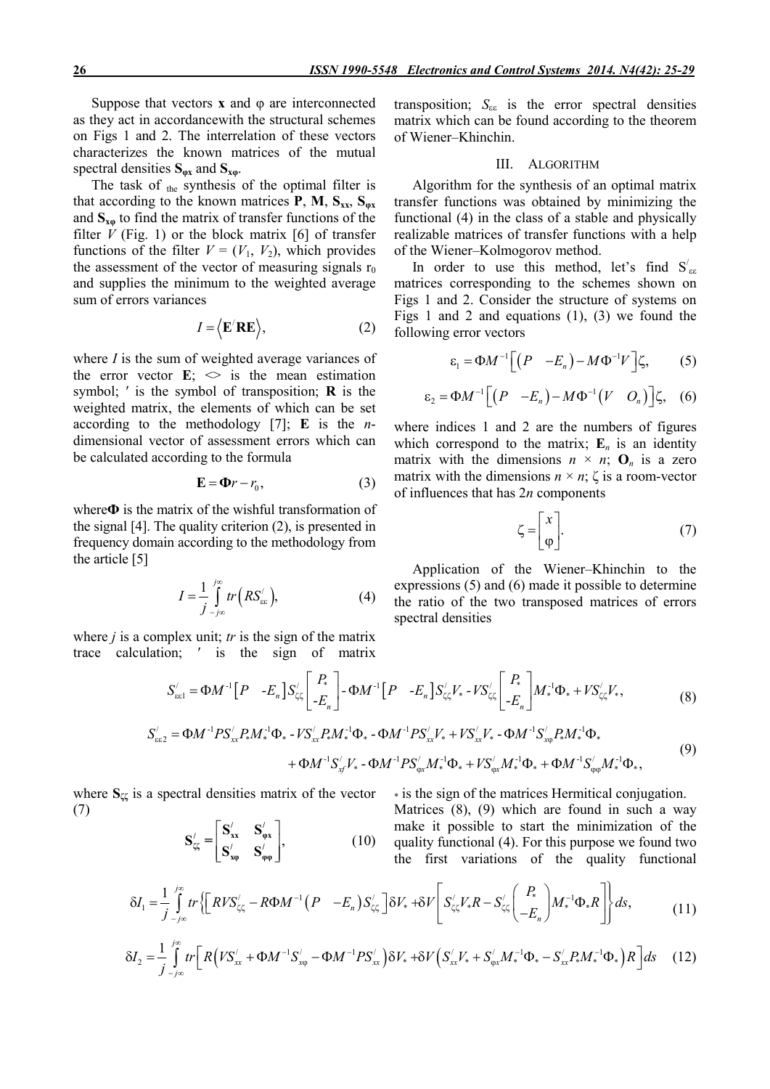Suppose that vectors  $x$  and  $\varphi$  are interconnected as they act in accordancewith the structural schemes on Figs 1 and 2. The interrelation of these vectors characterizes the known matrices of the mutual spectral densities  $S_{\alpha x}$  and  $S_{x\alpha}$ .

The task of  $_{the}$  synthesis of the optimal filter is that according to the known matrices **P**, **M**,  $S_{xx}$ ,  $S_{\varphi x}$ and  $S_{x\varphi}$  to find the matrix of transfer functions of the filter  $V$  (Fig. 1) or the block matrix [6] of transfer functions of the filter  $V = (V_1, V_2)$ , which provides the assessment of the vector of measuring signals  $r_0$ and supplies the minimum to the weighted average sum of errors variances

$$
I = \langle \mathbf{E}' \mathbf{R} \mathbf{E} \rangle, \tag{2}
$$

where *I* is the sum of weighted average variances of the error vector  $\mathbf{E}$ ;  $\leq$  is the mean estimation symbol;  $'$  is the symbol of transposition;  $\bf{R}$  is the weighted matrix, the elements of which can be set according to the methodology [7]; Е is the *n*dimensional vector of assessment errors which can be calculated according to the formula

$$
\mathbf{E} = \mathbf{\Phi}r - r_0,\tag{3}
$$

where $\Phi$  is the matrix of the wishful transformation of the signal [4]. The quality criterion (2), is presented in frequency domain according to the methodology from the article [5]

$$
I = \frac{1}{j} \int_{-j\infty}^{j\infty} tr(RS_{\text{gg}}^{j}), \qquad (4)
$$

where *j* is a complex unit; *tr* is the sign of the matrix trace calculation; ′ is the sign of matrix

transposition;  $S_{\epsilon \epsilon}$  is the error spectral densities matrix which can be found according to the theorem of Wiener–Khinchin.

## III. ALGORITHM

Algorithm for the synthesis of an optimal matrix transfer functions was obtained by minimizing the functional (4) in the class of a stable and physically realizable matrices of transfer functions with a help of the Wiener–Kolmogorov method.

In order to use this method, let's find  $S'_{\epsilon\epsilon}$ matrices corresponding to the schemes shown on Figs 1 and 2. Consider the structure of systems on Figs 1 and 2 and equations (1), (3) we found the following error vectors

$$
\varepsilon_1 = \Phi M^{-1} \Big[ \Big( P - E_n \Big) - M \Phi^{-1} V \Big] \zeta, \qquad (5)
$$

$$
\varepsilon_2 = \Phi M^{-1} \Big[ \Big( P - E_n \Big) - M \Phi^{-1} \Big( V - O_n \Big) \Big] \zeta, \quad (6)
$$

where indices 1 and 2 are the numbers of figures which correspond to the matrix;  $E_n$  is an identity matrix with the dimensions  $n \times n$ ;  $\mathbf{O}_n$  is a zero matrix with the dimensions  $n \times n$ ;  $\zeta$  is a room-vector of influences that has 2*n* components

$$
\zeta = \begin{bmatrix} x \\ \varphi \end{bmatrix} . \tag{7}
$$

Application of the Wiener–Khinchin to the expressions (5) and (6) made it possible to determine the ratio of the two transposed matrices of errors spectral densities

$$
S'_{\text{sel}} = \Phi M^{-1} \left[ P - E_n \right] S'_{\zeta \zeta} \left[ \begin{array}{c} P_* \\ -E_n \end{array} \right] - \Phi M^{-1} \left[ P - E_n \right] S'_{\zeta \zeta} V_* - VS'_{\zeta \zeta} \left[ \begin{array}{c} P_* \\ -E_n \end{array} \right] M_*^{-1} \Phi_* + VS'_{\zeta \zeta} V_*,
$$
\n
$$
= \Phi M^{-1} D S' - D M^{-1} \Phi - V S' - D M^{-1} \Phi - \Phi M^{-1} D S' - V - V S' - D M^{-1} S' - D M^{-1} \Phi.
$$
\n(8)

$$
S'_{\epsilon\epsilon 2} = \Phi M^{-1} P S'_{xx} P_* M_*^{-1} \Phi_* - V S'_{xx} P_* M_*^{-1} \Phi_* - \Phi M^{-1} P S'_{xx} V_* + V S'_{xx} V_* - \Phi M^{-1} S'_{x\phi} P_* M_*^{-1} \Phi_* + \Phi M^{-1} S'_{xf} V_* - \Phi M^{-1} P S'_{\phi x} M_*^{-1} \Phi_* + V S'_{\phi x} M_*^{-1} \Phi_* + \Phi M^{-1} S'_{\phi\phi} M_*^{-1} \Phi_*,
$$
\n
$$
(9)
$$

where  $S_{\zeta\zeta}$  is a spectral densities matrix of the vector (7)

$$
\mathbf{S}'_{\mathcal{G}} = \begin{bmatrix} \mathbf{S}'_{\mathbf{x}} & \mathbf{S}'_{\mathbf{\varphi}\mathbf{x}} \\ \mathbf{S}'_{\mathbf{x}\mathbf{\varphi}} & \mathbf{S}'_{\mathbf{\varphi}\mathbf{\varphi}} \end{bmatrix},\tag{10}
$$

\* is the sign of the matrices Hermitical conjugation.

Matrices (8), (9) which are found in such a way make it possible to start the minimization of the quality functional (4). For this purpose we found two the first variations of the quality functional

$$
\delta I_1 = \frac{1}{j} \int_{-j\infty}^{j\infty} tr \left\{ \left[ RVS'_{\zeta\zeta} - R\Phi M^{-1} \left( P - E_n \right) S'_{\zeta\zeta} \right] \delta V_* + \delta V \left[ S'_{\zeta\zeta} V_* R - S'_{\zeta\zeta} \left( \frac{P_*}{-E_n} \right) M_*^{-1} \Phi_* R \right] \right\} ds, \tag{11}
$$

$$
\delta I_2 = \frac{1}{j} \int_{-j\infty}^{j\infty} tr \Big[ R \Big( V S_{xx}^{\prime} + \Phi M^{-1} S_{x\varphi}^{\prime} - \Phi M^{-1} P S_{xx}^{\prime} \Big) \delta V_* + \delta V \Big( S_{xx}^{\prime} V_* + S_{\varphi x}^{\prime} M_*^{-1} \Phi_* - S_{xx}^{\prime} P_* M_*^{-1} \Phi_* \Big) R \Big] ds \quad (12)
$$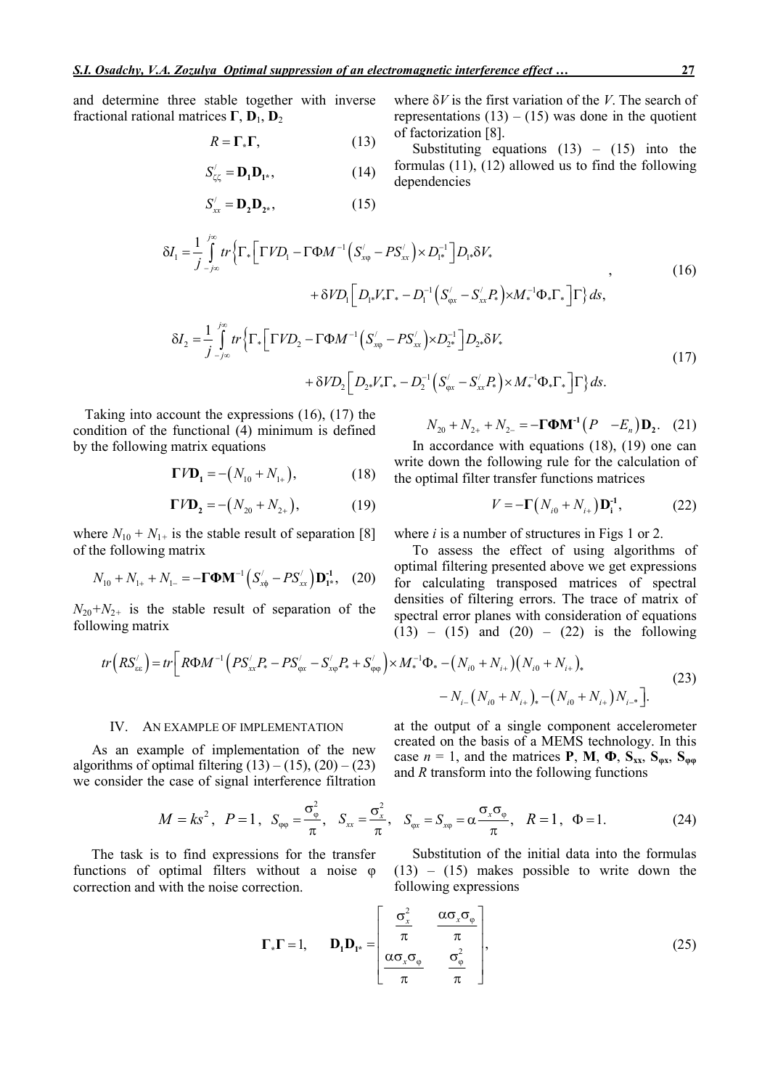and determine three stable together with inverse fractional rational matrices  $\Gamma$ ,  $D_1$ ,  $D_2$ 

$$
R = \Gamma_* \Gamma, \tag{13}
$$

$$
S'_{\zeta\zeta} = \mathbf{D}_1 \mathbf{D}_{1^*},\tag{14}
$$

$$
S'_{xx} = \mathbf{D}_2 \mathbf{D}_{2^*},\tag{15}
$$

where δ*V* is the first variation of the *V*. The search of representations  $(13) - (15)$  was done in the quotient of factorization [8].

Substituting equations  $(13) - (15)$  into the formulas (11), (12) allowed us to find the following dependencies

$$
\delta I_{1} = \frac{1}{j} \int_{-j\infty}^{j\infty} tr \left\{ \Gamma_{*} \left[ \Gamma V D_{1} - \Gamma \Phi M^{-1} \left( S_{x\varphi}^{\prime} - P S_{xx}^{\prime} \right) \times D_{1}^{-1} \right] D_{1*} \delta V_{*} \right. \\ \left. + \delta V D_{1} \left[ D_{1*} V_{*} \Gamma_{*} - D_{1}^{-1} \left( S_{\varphi x}^{\prime} - S_{xx}^{\prime} P_{*} \right) \times M_{*}^{-1} \Phi_{*} \Gamma_{*} \right] \Gamma \right\} ds,
$$
\n(16)\n
$$
\delta I_{1} = \frac{1}{j} \int_{-j\infty}^{j\infty} tr \left\{ \Gamma \left[ \Gamma V D_{1} - \Gamma \Phi M^{-1} \left( S_{1}^{\prime} - P S_{1}^{\prime} \right) \times D_{1}^{-1} \right] D_{1} \delta V_{*}
$$

$$
\delta I_{2} = \frac{1}{j} \int_{-j\infty}^{j\infty} tr \left\{ \Gamma_{*} \left[ \Gamma V D_{2} - \Gamma \Phi M^{-1} \left( S_{x\varphi}^{\prime} - P S_{xx}^{\prime} \right) \times D_{2^{*}}^{-1} \right] D_{2^{*}} \delta V_{*} \right. \right. \\
\left. + \delta V D_{2} \left[ D_{2^{*}} V_{*} \Gamma_{*} - D_{2}^{-1} \left( S_{\varphi x}^{\prime} - S_{xx}^{\prime} P_{*} \right) \times M_{*}^{-1} \Phi_{*} \Gamma_{*} \right] \Gamma \right\} ds.
$$
\n(17)

Taking into account the expressions (16), (17) the condition of the functional (4) minimum is defined by the following matrix equations

$$
\Gamma V \mathbf{D}_1 = -\big(N_{10} + N_{1+}\big),\tag{18}
$$

$$
\Gamma V \mathbf{D}_2 = -\big(N_{20} + N_{2+}\big),\tag{19}
$$

where  $N_{10} + N_{1+}$  is the stable result of separation [8] of the following matrix

$$
N_{10} + N_{1+} + N_{1-} = -\Gamma \Phi M^{-1} \left( S'_{x\phi} - PS'_{xx} \right) D_{1*}^{-1}, \quad (20)
$$

 $N_{20}+N_{2+}$  is the stable result of separation of the following matrix

$$
N_{20} + N_{2+} + N_{2-} = -\Gamma \Phi M^{-1} (P - E_n) D_2.
$$
 (21)

In accordance with equations (18), (19) one can write down the following rule for the calculation of the optimal filter transfer functions matrices

$$
V = -\Gamma(N_{i0} + N_{i+})\mathbf{D}_{i}^{-1}, \tag{22}
$$

where *i* is a number of structures in Figs 1 or 2.

To assess the effect of using algorithms of optimal filtering presented above we get expressions for calculating transposed matrices of spectral densities of filtering errors. The trace of matrix of spectral error planes with consideration of equations  $(13) - (15)$  and  $(20) - (22)$  is the following

$$
tr\left(RS_{\text{ex}}'\right) = tr\left[R\Phi M^{-1}\left(PS_{\text{xx}}'P_{*} - PS_{\text{gx}}' - S_{\text{xy}}'P_{*} + S_{\text{opp}}'\right)\times M_{*}^{-1}\Phi_{*} - \left(N_{i0} + N_{i+}\right)\left(N_{i0} + N_{i+}\right)_{*}\right] - N_{i-}\left(N_{i0} + N_{i+}\right)_{*} - \left(N_{i0} + N_{i+}\right)N_{i-}.
$$
\n(23)

### IV. AN EXAMPLE OF IMPLEMENTATION

As an example of implementation of the new algorithms of optimal filtering  $(13) - (15)$ ,  $(20) - (23)$ we consider the case of signal interference filtration

$$
M = ks^2, \quad P = 1, \quad S_{\varphi\varphi} = \frac{\sigma_{\varphi}^2}{\pi}, \quad S_{xx} = \frac{\sigma_x^2}{\pi}, \quad S_{\varphi x}
$$

The task is to find expressions for the transfer functions of optimal filters without a noise φ correction and with the noise correction.

at the output of a single component accelerometer created on the basis of a MEMS technology. In this case  $n = 1$ , and the matrices **P**, **M**,  $\Phi$ ,  $S_{xx}$ ,  $S_{\phi x}$ ,  $S_{\phi g}$ and *R* transform into the following functions

$$
S_{xx} = \frac{\sigma_x^2}{\pi}, \quad S_{\varphi x} = S_{x\varphi} = \alpha \frac{\sigma_x \sigma_{\varphi}}{\pi}, \quad R = 1, \quad \Phi = 1.
$$
 (24)

Substitution of the initial data into the formulas  $(13) - (15)$  makes possible to write down the following expressions

$$
\Gamma_* \Gamma = 1, \qquad \mathbf{D}_1 \mathbf{D}_{1^*} = \begin{bmatrix} \frac{\sigma_x^2}{\pi} & \frac{\alpha \sigma_x \sigma_{\varphi}}{\pi} \\ \frac{\alpha \sigma_x \sigma_{\varphi}}{\pi} & \frac{\sigma_{\varphi}^2}{\pi} \end{bmatrix}, \tag{25}
$$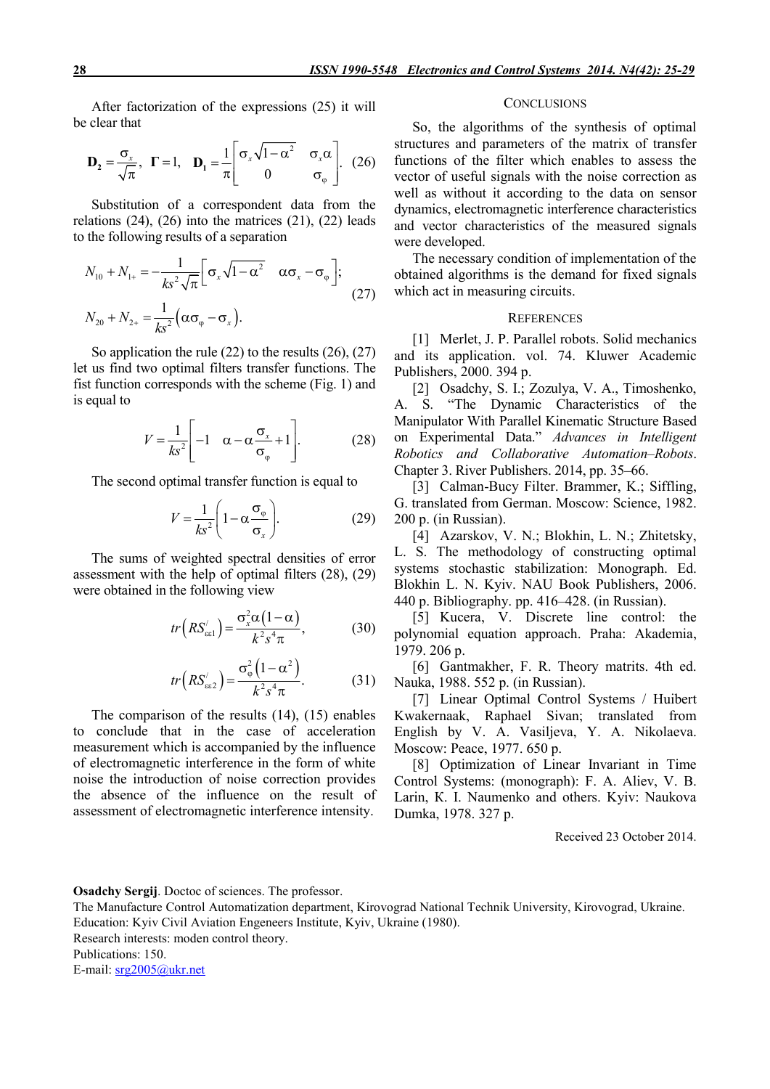After factorization of the expressions (25) it will be clear that

$$
\mathbf{D}_2 = \frac{\sigma_x}{\sqrt{\pi}}, \quad \mathbf{\Gamma} = 1, \quad \mathbf{D}_1 = \frac{1}{\pi} \begin{bmatrix} \sigma_x \sqrt{1 - \alpha^2} & \sigma_x \alpha \\ 0 & \sigma_\varphi \end{bmatrix}. \quad (26)
$$

Substitution of a correspondent data from the relations  $(24)$ ,  $(26)$  into the matrices  $(21)$ ,  $(22)$  leads to the following results of a separation

$$
N_{10} + N_{1+} = -\frac{1}{ks^2 \sqrt{\pi}} \Big[ \sigma_x \sqrt{1 - \alpha^2} \quad \alpha \sigma_x - \sigma_{\varphi} \Big];
$$
  
\n
$$
N_{20} + N_{2+} = \frac{1}{ks^2} \Big( \alpha \sigma_{\varphi} - \sigma_x \Big).
$$
 (27)

So application the rule (22) to the results (26), (27) let us find two optimal filters transfer functions. The fist function corresponds with the scheme (Fig. 1) and is equal to

$$
V = \frac{1}{ks^2} \left[ -1 \quad \alpha - \alpha \frac{\sigma_x}{\sigma_{\varphi}} + 1 \right].
$$
 (28)

The second optimal transfer function is equal to

$$
V = \frac{1}{ks^2} \left( 1 - \alpha \frac{\sigma_{\varphi}}{\sigma_x} \right). \tag{29}
$$

The sums of weighted spectral densities of error assessment with the help of optimal filters (28), (29) were obtained in the following view

$$
tr\left(RS_{\text{est}}'\right) = \frac{\sigma_x^2 \alpha (1-\alpha)}{k^2 s^4 \pi},\tag{30}
$$

$$
tr\left(RS_{\text{ee2}}'\right) = \frac{\sigma_{\varphi}^2\left(1 - \alpha^2\right)}{k^2 s^4 \pi}.
$$
 (31)

The comparison of the results (14), (15) enables to conclude that in the case of acceleration measurement which is accompanied by the influence of electromagnetic interference in the form of white noise the introduction of noise correction provides the absence of the influence on the result of assessment of electromagnetic interference intensity.

#### **CONCLUSIONS**

So, the algorithms of the synthesis of optimal structures and parameters of the matrix of transfer functions of the filter which enables to assess the vector of useful signals with the noise correction as well as without it according to the data on sensor dynamics, electromagnetic interference characteristics and vector characteristics of the measured signals were developed.

The necessary condition of implementation of the obtained algorithms is the demand for fixed signals which act in measuring circuits.

### **REFERENCES**

[1] Merlet, J. P. Parallel robots. Solid mechanics and its application. vol. 74. Kluwer Academic Publishers, 2000. 394 p.

[2] Osadchy, S. I.; Zozulya, V. A., Timoshenko, A. S. "The Dynamic Characteristics of the Manipulator With Parallel Kinematic Structure Based on Experimental Data." *Advances in Intelligent Robotics and Collaborative Automation–Robots*. Chapter 3. River Publishers. 2014, рр. 35–66.

[3] Calman-Bucy Filter. Brammer, K.; Siffling, G. translated from German. Moscow: Science, 1982. 200 p. (in Russian).

[4] Azarskov, V. N.; Blokhin, L. N.; Zhitetsky, L. S. The methodology of constructing optimal systems stochastic stabilization: Monograph. Ed. Blokhin L. N. Kyiv. NAU Book Publishers, 2006. 440 p. Bibliography. pp. 416–428. (in Russian).

[5] Kucera, V. Discrete line control: the polynomial equation approach. Praha: Akademia, 1979. 206 p.

[6] Gantmakher, F. R. Theory matrits. 4th ed. Nauka, 1988. 552 p. (in Russian).

[7] Linear Optimal Control Systems / Huibert Kwakernaak, Raphael Sivan; translated from English by V. А. Vasiljeva, Y. А. Nikolaeva. Мoscow: Peace, 1977. 650 p.

[8] Optimization of Linear Invariant in Time Control Systems: (monograph): F. А. Aliev, V. B. Larin, К. I. Naumenko and others. Kyiv: Naukova Dumka, 1978. 327 p.

Received 23 October 2014.

### Osadchy Sergij. Doctoc of sciences. The professor.

The Manufacture Control Automatization department, Kirovograd National Technik University, Kirovograd, Ukraine. Education: Kyiv Civil Aviation Engeneers Institute, Kyiv, Ukraine (1980).

Research interests: moden control theory.

Publications: 150.

E-mail: srg2005@ukr.net